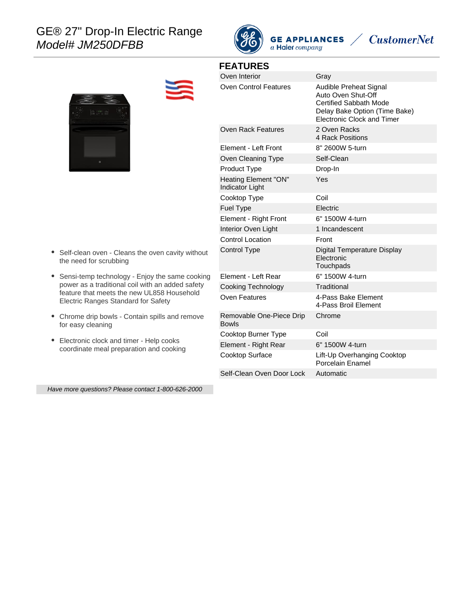# GE® 27" Drop-In Electric Range Model# JM250DFBB



**GE APPLIANCES** a Haier company

# **CustomerNet**

| ö |  |
|---|--|



#### **FEATURES**

Oven Interior **Gray** 

| <b>Oven Control Features</b>             | Audible Preheat Signal<br>Auto Oven Shut-Off<br><b>Certified Sabbath Mode</b><br>Delay Bake Option (Time Bake)<br><b>Electronic Clock and Timer</b> |
|------------------------------------------|-----------------------------------------------------------------------------------------------------------------------------------------------------|
| Oven Rack Features                       | 2 Oven Racks<br>4 Rack Positions                                                                                                                    |
| Element - Left Front                     | 8" 2600W 5-turn                                                                                                                                     |
| Oven Cleaning Type                       | Self-Clean                                                                                                                                          |
| Product Type                             | Drop-In                                                                                                                                             |
| Heating Element "ON"<br>Indicator Light  | Yes                                                                                                                                                 |
| Cooktop Type                             | Coil                                                                                                                                                |
| <b>Fuel Type</b>                         | Electric                                                                                                                                            |
| Element - Right Front                    | 6" 1500W 4-turn                                                                                                                                     |
| Interior Oven Light                      | 1 Incandescent                                                                                                                                      |
| <b>Control Location</b>                  | Front                                                                                                                                               |
| <b>Control Type</b>                      | Digital Temperature Display<br>Electronic<br>Touchpads                                                                                              |
| Element - Left Rear                      | 6" 1500W 4-turn                                                                                                                                     |
| Cooking Technology                       | Traditional                                                                                                                                         |
| Oven Features                            | 4-Pass Bake Element<br>4-Pass Broil Element                                                                                                         |
| Removable One-Piece Drip<br><b>Bowls</b> | Chrome                                                                                                                                              |
| Cooktop Burner Type                      | Coil                                                                                                                                                |
| Element - Right Rear                     | 6" 1500W 4-turn                                                                                                                                     |
| <b>Cooktop Surface</b>                   | Lift-Up Overhanging Cooktop<br>Porcelain Enamel                                                                                                     |
| Self-Clean Oven Door Lock                | Automatic                                                                                                                                           |
|                                          |                                                                                                                                                     |

• Self-clean oven - Cleans the oven cavity without the need for scrubbing

- Sensi-temp technology Enjoy the same cooking power as a traditional coil with an added safety feature that meets the new UL858 Household Electric Ranges Standard for Safety
- Chrome drip bowls Contain spills and remove for easy cleaning
- Electronic clock and timer Help cooks coordinate meal preparation and cooking

Have more questions? Please contact 1-800-626-2000